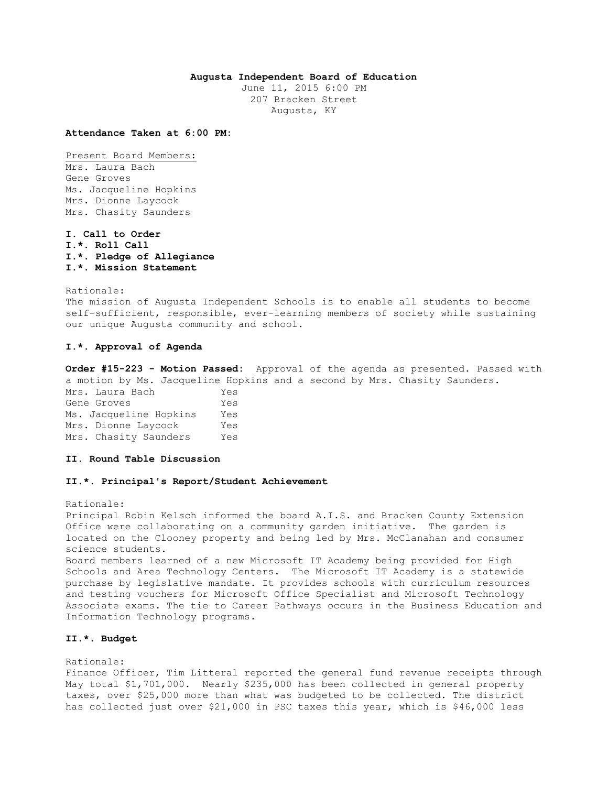## **Augusta Independent Board of Education**

June 11, 2015 6:00 PM 207 Bracken Street Augusta, KY

**Attendance Taken at 6:00 PM:**

Present Board Members: Mrs. Laura Bach Gene Groves Ms. Jacqueline Hopkins Mrs. Dionne Laycock Mrs. Chasity Saunders

**I. Call to Order I.\*. Roll Call I.\*. Pledge of Allegiance I.\*. Mission Statement** 

Rationale:

The mission of Augusta Independent Schools is to enable all students to become self-sufficient, responsible, ever-learning members of society while sustaining our unique Augusta community and school.

## **I.\*. Approval of Agenda**

**Order #15-223 - Motion Passed:** Approval of the agenda as presented. Passed with a motion by Ms. Jacqueline Hopkins and a second by Mrs. Chasity Saunders. Mrs. Laura Bach Yes Gene Groves Tes Ms. Jacqueline Hopkins Yes Mrs. Dionne Laycock Yes Mrs. Chasity Saunders Yes

**II. Round Table Discussion** 

### **II.\*. Principal's Report/Student Achievement**

Principal Robin Kelsch informed the board A.I.S. and Bracken County Extension Office were collaborating on a community garden initiative. The garden is located on the Clooney property and being led by Mrs. McClanahan and consumer science students. Board members learned of a new Microsoft IT Academy being provided for High Schools and Area Technology Centers. The Microsoft IT Academy is a statewide purchase by legislative mandate. It provides schools with curriculum resources and testing vouchers for Microsoft Office Specialist and Microsoft Technology Associate exams. The tie to Career Pathways occurs in the Business Education and Information Technology programs.

# **II.\*. Budget**

Rationale:

Rationale:

Finance Officer, Tim Litteral reported the general fund revenue receipts through May total \$1,701,000. Nearly \$235,000 has been collected in general property taxes, over \$25,000 more than what was budgeted to be collected. The district has collected just over \$21,000 in PSC taxes this year, which is \$46,000 less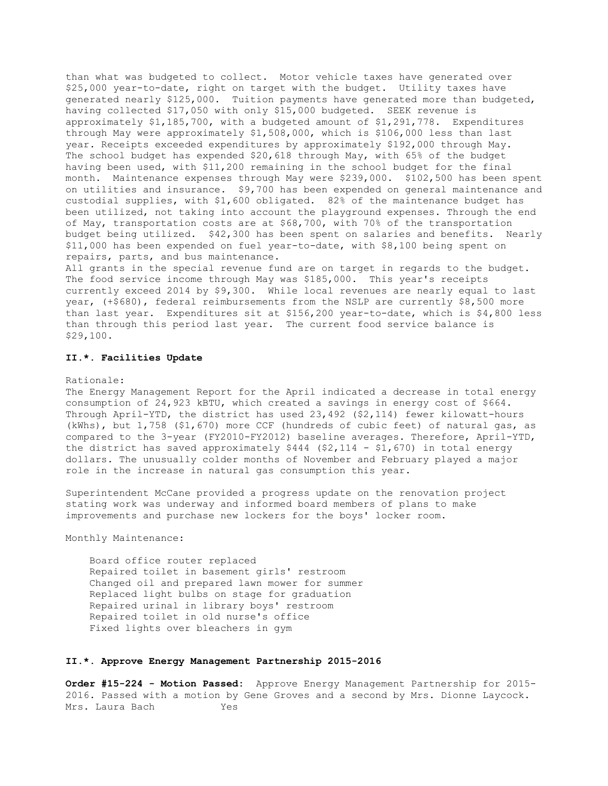than what was budgeted to collect. Motor vehicle taxes have generated over \$25,000 year-to-date, right on target with the budget. Utility taxes have generated nearly \$125,000. Tuition payments have generated more than budgeted, having collected \$17,050 with only \$15,000 budgeted. SEEK revenue is approximately \$1,185,700, with a budgeted amount of \$1,291,778. Expenditures through May were approximately \$1,508,000, which is \$106,000 less than last year. Receipts exceeded expenditures by approximately \$192,000 through May. The school budget has expended \$20,618 through May, with 65% of the budget having been used, with \$11,200 remaining in the school budget for the final month. Maintenance expenses through May were \$239,000. \$102,500 has been spent on utilities and insurance. \$9,700 has been expended on general maintenance and custodial supplies, with \$1,600 obligated. 82% of the maintenance budget has been utilized, not taking into account the playground expenses. Through the end of May, transportation costs are at \$68,700, with 70% of the transportation budget being utilized. \$42,300 has been spent on salaries and benefits. Nearly \$11,000 has been expended on fuel year-to-date, with \$8,100 being spent on repairs, parts, and bus maintenance.

All grants in the special revenue fund are on target in regards to the budget. The food service income through May was \$185,000. This year's receipts currently exceed 2014 by \$9,300. While local revenues are nearly equal to last year, (+\$680), federal reimbursements from the NSLP are currently \$8,500 more than last year. Expenditures sit at \$156,200 year-to-date, which is \$4,800 less than through this period last year. The current food service balance is \$29,100.

## **II.\*. Facilities Update**

#### Rationale:

The Energy Management Report for the April indicated a decrease in total energy consumption of 24,923 kBTU, which created a savings in energy cost of \$664. Through April-YTD, the district has used 23,492 (\$2,114) fewer kilowatt-hours (kWhs), but 1,758 (\$1,670) more CCF (hundreds of cubic feet) of natural gas, as compared to the 3-year (FY2010-FY2012) baseline averages. Therefore, April-YTD, the district has saved approximately  $$444$  ( $$2,114$  -  $$1,670$ ) in total energy dollars. The unusually colder months of November and February played a major role in the increase in natural gas consumption this year.

Superintendent McCane provided a progress update on the renovation project stating work was underway and informed board members of plans to make improvements and purchase new lockers for the boys' locker room.

Monthly Maintenance:

 Board office router replaced Repaired toilet in basement girls' restroom Changed oil and prepared lawn mower for summer Replaced light bulbs on stage for graduation Repaired urinal in library boys' restroom Repaired toilet in old nurse's office Fixed lights over bleachers in gym

### **II.\*. Approve Energy Management Partnership 2015-2016**

**Order #15-224 - Motion Passed:** Approve Energy Management Partnership for 2015- 2016. Passed with a motion by Gene Groves and a second by Mrs. Dionne Laycock. Mrs. Laura Bach Yes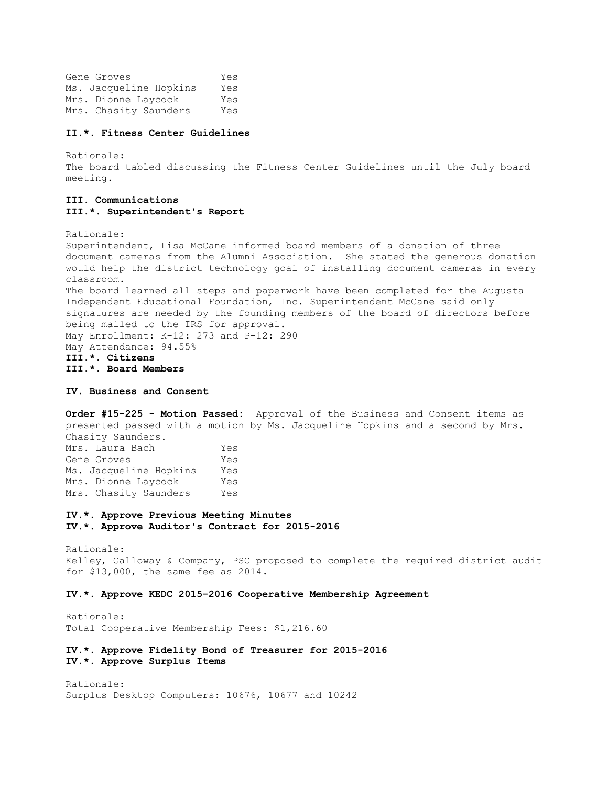Gene Groves Yes Ms. Jacqueline Hopkins Yes Mrs. Dionne Laycock Yes Mrs. Chasity Saunders Yes

#### **II.\*. Fitness Center Guidelines**

Rationale: The board tabled discussing the Fitness Center Guidelines until the July board meeting.

## **III. Communications III.\*. Superintendent's Report**

Rationale:

Superintendent, Lisa McCane informed board members of a donation of three document cameras from the Alumni Association. She stated the generous donation would help the district technology goal of installing document cameras in every classroom. The board learned all steps and paperwork have been completed for the Augusta Independent Educational Foundation, Inc. Superintendent McCane said only signatures are needed by the founding members of the board of directors before being mailed to the IRS for approval. May Enrollment: K-12: 273 and P-12: 290 May Attendance: 94.55% **III.\*. Citizens III.\*. Board Members** 

**IV. Business and Consent** 

**Order #15-225 - Motion Passed:** Approval of the Business and Consent items as presented passed with a motion by Ms. Jacqueline Hopkins and a second by Mrs. Chasity Saunders. Mrs. Laura Bach Yes Gene Groves Yes Ms. Jacqueline Hopkins Yes Mrs. Dionne Laycock Yes Mrs. Chasity Saunders Yes

**IV.\*. Approve Previous Meeting Minutes IV.\*. Approve Auditor's Contract for 2015-2016** 

Rationale: Kelley, Galloway & Company, PSC proposed to complete the required district audit for \$13,000, the same fee as 2014.

**IV.\*. Approve KEDC 2015-2016 Cooperative Membership Agreement** 

Rationale: Total Cooperative Membership Fees: \$1,216.60

**IV.\*. Approve Fidelity Bond of Treasurer for 2015-2016 IV.\*. Approve Surplus Items** 

Rationale: Surplus Desktop Computers: 10676, 10677 and 10242